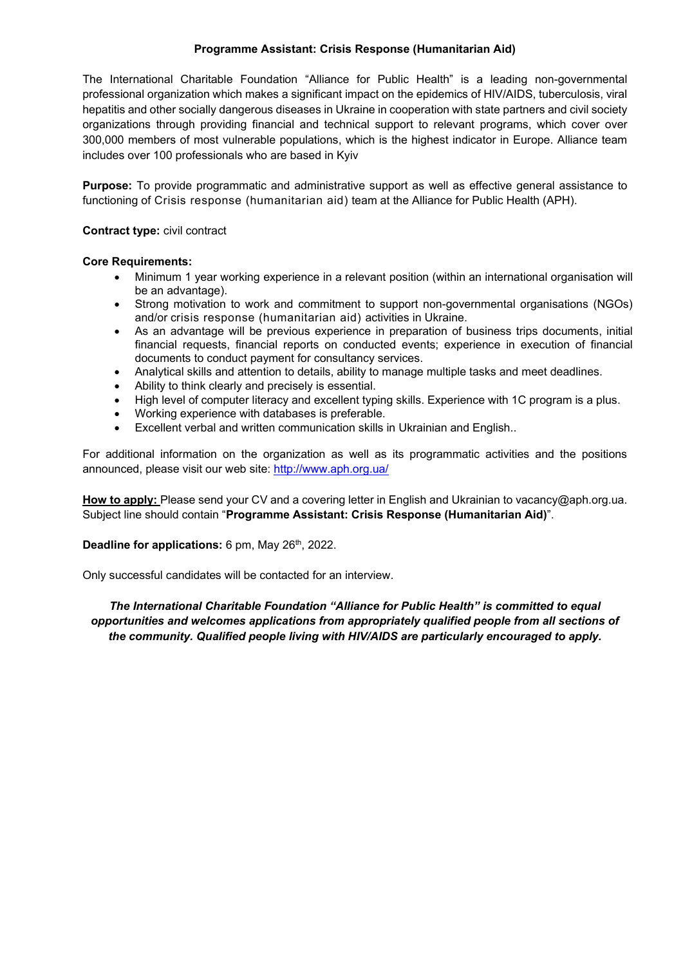## **Programme Assistant: Crisis Response (Humanitarian Aid)**

The International Charitable Foundation "Alliance for Public Health" is a leading non-governmental professional organization which makes a significant impact on the epidemics of HIV/AIDS, tuberculosis, viral hepatitis and other socially dangerous diseases in Ukraine in cooperation with state partners and civil society organizations through providing financial and technical support to relevant programs, which cover over 300,000 members of most vulnerable populations, which is the highest indicator in Europe. Alliance team includes over 100 professionals who are based in Kyiv

**Purpose:** To provide programmatic and administrative support as well as effective general assistance to functioning of Crisis response (humanitarian aid) team at the Alliance for Public Health (APH).

## **Contract type:** civil contract

#### **Core Requirements:**

- Minimum 1 year working experience in a relevant position (within an international organisation will be an advantage).
- Strong motivation to work and commitment to support non-governmental organisations (NGOs) and/or crisis response (humanitarian aid) activities in Ukraine.
- As an advantage will be previous experience in preparation of business trips documents, initial financial requests, financial reports on conducted events; experience in execution of financial documents to conduct payment for consultancy services.
- x Analytical skills and attention to details, ability to manage multiple tasks and meet deadlines.
- Ability to think clearly and precisely is essential.
- High level of computer literacy and excellent typing skills. Experience with 1C program is a plus.
- Working experience with databases is preferable.
- x Excellent verbal and written communication skills in Ukrainian and English..

For additional information on the organization as well as its programmatic activities and the positions announced, please visit our web site: http://www.aph.org.ua/

**How to apply:** Please send your CV and a covering letter in English and Ukrainian to vacancy@aph.org.ua. Subject line should contain "**Programme Assistant: Crisis Response (Humanitarian Aid)**".

#### **Deadline for applications:** 6 pm, May 26<sup>th</sup>, 2022.

Only successful candidates will be contacted for an interview.

*The International Charitable Foundation "Alliance for Public Health" is committed to equal opportunities and welcomes applications from appropriately qualified people from all sections of the community. Qualified people living with HIV/AIDS are particularly encouraged to apply.*